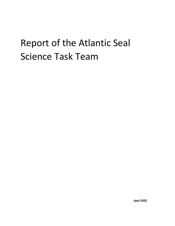# Report of the Atlantic Seal Science Task Team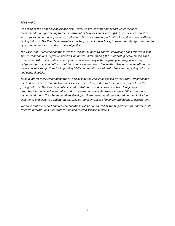#### *FOREWARD*

*On behalf of the Atlantic Seal Science Task Team, we present this final report which includes recommendations pertaining to the Department of Fisheries and Oceans (DFO) seal science priorities, with a focus on harp and grey seals, and how DFO can increase opportunities for collaboration with the fishing industry. The Task Team members worked, on a volunteer basis, to generate this report and series of recommendations to address these objectives.* 

*The Task Team's recommendations are focused on the need to address knowledge gaps related to seal diet, distribution and migration patterns, on better understanding the relationship between seals and commercial fish stocks and on working more collaboratively with the fishing industry, academia, Indigenous partners and other countries on seal science research activities. The recommendations also make concrete suggestions for improving DFO's communication of seal science to the fishing industry and general public.*

*To help inform these recommendations, and despite the challenges posed by the COVID-19 pandemic, the Task Team heard directly from seal science researchers and as well as representatives from the fishing industry. The Task Team also invited contributions and perspectives from Indigenous organizations and considered public and stakeholder written submissions in their deliberations and recommendations. Task Team members developed these recommendations based on their individual experience and expertise and not necessarily as representatives of member affiliations or associations.* 

*We hope that this report and recommendations will be considered by the Department as it develops its research priorities and plans future pinniped-related science activities.*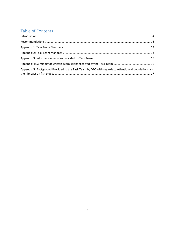# Table of Contents

| Appendix 5: Background Provided to the Task Team by DFO with regards to Atlantic seal populations and |  |
|-------------------------------------------------------------------------------------------------------|--|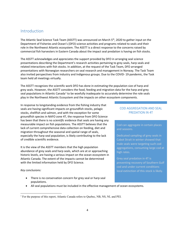# <span id="page-3-0"></span>Introduction

The Atlantic Seal Science Task Team (ASSTT) was announced on March 5<sup>th</sup>, 2020 to gather input on the Department of Fisheries and Ocean's (DFO) science activities and programs related to seals and their role in the Northwest Atlantic ecosystem. The ASSTT is a direct response to the concerns raised by commercial fish harvesters in Eastern Canada about the impact seal predation is having on fish stocks.

The ASSTT acknowledges and appreciates the support provided by DFO in arranging seal science presentations describing the Department's research activities pertaining to grey seals, harp seals and related interactions with fish stocks. In addition, at the request of the Task Team, DFO arranged presentations with Norwegian researchers on seal research and management in Norway. The Task Team also invited perspectives from industry and Indigenous groups. Due to the COVID- 19 pandemic, the Task team held all meetings virtually.

The ASSTT recognizes the scientific work DFO has done in estimating the population size of harp and grey seals. However, the ASSTT considers the food, feeding and migration data for the harp and grey seal populations in Atlantic Canada<sup>[1](#page-3-1)</sup> to be woefully inadequate to accurately determine the role seals play in the Northwest Atlantic Ecosystem and the impacts on other ecosystem components.

In response to longstanding evidence from the fishing industry that seals are having significant impacts on groundfish stocks, pelagic stocks, shellfish and salmon, and with the exception for some groundfish species in NAFO zone 4T, the response from DFO Science has been that there is no *scientific* evidence that seals are having any measurable impact on fish populations. The ASSTT believes that the lack of current comprehensive data collection on feeding, diet and migration throughout the seasonal and spatial range of seals, especially the harp seal population, is likely contributing to the lack of credible scientific evidence.

It is the view of the ASSTT members that the high population abundance of grey seals and harp seals, which are at or approaching historic levels, are having a serious impact on the ocean ecosystem in Atlantic Canada. The extent of the impacts cannot be determined with the limited information held by DFO Science.

### *Key conclusions:*

- There is no conservation concern for grey seal or harp seal populations.
- All seal populations must be included in the effective management of ocean ecosystems.

# COD AGGREGATION AND SEAL PREDATION IN 4T

Cod can aggregate in certain places and seasons.

Dedicated sampling of grey seals in Cabot Strait in winter showed that male seals were targeting such cod aggregations, consuming large cod at high rates.

Grey seal predation in 4T is preventing recovery of Southern Gulf cod and under current conditions local extinction of this stock is likely.

<span id="page-3-1"></span><sup>&</sup>lt;sup>1</sup> For the purpose of this report, Atlantic Canada refers to Quebec, NB, NS, NL and PEI.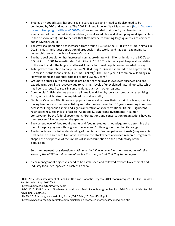- Studies on hooded seals, harbour seals, bearded seals and ringed seals also need to be conducted by DFO and industry. The 2001 Eminent Panel on Seal Management [\(https://waves](https://waves-vagues.dfo-mpo.gc.ca/Library/260100.pdf)[vagues.dfo-mpo.gc.ca/Library/260100.pdf\)](https://waves-vagues.dfo-mpo.gc.ca/Library/260100.pdf) recommended that priority be given to the assessment of the Hooded Seal population, as well as additional diet sampling work (particularly in the offshore area), due to the fact that they may be consuming large quantities of northern cod in Divisions 2J3KL.
- The grey seal population has increased from around 15,000 in the 1960's to 424,300 animals in [2](#page-4-0)016<sup>2</sup>. This is the largest population of grey seals in the world<sup>[3](#page-4-1)</sup> and has been expanding its geographic range throughout Eastern Canada.
- The harp seal population has increased from approximately 2 million animals in the 1970's to 5.5 million in 2001 to an estimated 7.6 million in 2019<sup>[4](#page-4-2)</sup>. This is the largest harp seal population in the world and is the largest Northwest Atlantic harp seal population in recorded history.
- Total prey consumption by harp seals in 2J3KL during 2014 was estimated to be approximately 3.2 million metric tonnes (9[5](#page-4-3)% CI 2.1 mt  $-$  4.9 mt)<sup>5</sup>. The same year, all commercial landings in Newfoundland and Labrador totalled around 25[6](#page-4-4),000 tons<sup>6</sup>.
- Groundfish stocks in Atlantic Canada are at or near the lowest level ever observed and are experiencing very little recovery due to very high levels of unexplained natural mortality which has been attributed to seals in some regions, but not in other regions.
- Commercial finfish fisheries are at an all time low, driven by low stock productivity resulting from, in part, high rates of unexplained natural mortality.
- Similarly, Canada's Atlantic salmon populations are at or near their historic low levels, despite having been under commercial fishing moratorium for more than 30 years, resulting in reduced access for Indigenous fishers and significant restrictions for recreational fishers. Significant restrictions resulted in lack of access. Additionally, significant investments in salmon conservation by the federal government, First Nations and conservation organizations have not been successful in recovering the species.
- The current level of food requirements and feeding studies is not adequate to determine the diet of harp or grey seals throughout the year and/or throughout their habitat range.
- The importance of a full understanding of the diet and feeding patterns of seals (grey seals) is best seen in the southern Gulf of St Lawrence cod stock where a focused research program reshaped the perspective of the impacts of seal consumption on the productivity of the population.

# *Seal management considerations - although the following considerations are not within the scope of the ASSTT mandate, members felt it was important that they be conveyed:*

• Clear management objectives need to be established and followed by both Government and industry for all seal species in Eastern Canada.

<span id="page-4-0"></span><sup>&</sup>lt;sup>2</sup> DFO. 2017. Stock assessment of Canadian Northwest Atlantic Grey seals (Halichoerus grypus). DFO Can. Sci. Advis. Sec. Sci. Advis. Rep. 2017/045.

<span id="page-4-1"></span><sup>3</sup> https://nammco.no/topics/grey-seal/

<span id="page-4-2"></span><sup>4</sup> DFO. 2020. 2019 Status of Northwest Atlantic Harp Seals, Pagophilus groenlandicus. DFO Can. Sci. Advis. Sec. Sci. Advis. Rep. 2020/020.

<span id="page-4-3"></span><sup>5</sup> NAFO. 2015. https://www.nafo.int/Portals/0/PDFs/sc/2015/scs15-19.pdf

<span id="page-4-4"></span><sup>6</sup> https://www.dfo-mpo.gc.ca/stats/commercial/land-debarq/sea-maritimes/s2014aq-eng.htm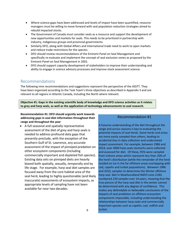- Where science gaps have been addressed and levels of impact have been quantified, resource managers must be willing to move forward with seal population reduction strategies aimed to rebuild impacted stocks.
- The Government of Canada must consider seals as a resource and support the development of new opportunities and markets for seals. This needs to be prioritized in partnership with industry, Indigenous groups and provincial governments.
- Similarly DFO, along with Global Affairs and International trade need to work to open markets and reduce trade restrictions for the species.
- DFO should review recommendations of the Eminent Panel on Seal Management and specifically re-evaluate and implement the concept of seal exclusion zones as proposed by the Eminent Panel on Seal Management in 2001.
- DFO should support capacity development of stakeholders to improve their understanding and ability to engage in science advisory processes and improve stock assessment science.

# <span id="page-5-0"></span>Recommendations

The following nine recommendations and suggestions represent the perspective of the ASSTT. They have been organized according to the Task Team's three objectives as described in Appendix 3 and are relevant to all regions in Atlantic Canada, including the North where relevant.

**Objective #1: Gaps in the existing scientific body of knowledge and DFO science activities as it relates to grey and harp seals, as well as the application of technology advancements to seal research.** 

## **Recommendation #1: DFO should urgently work towards addressing gaps in seal diet information throughout their range and throughout the year**

• A full seasonal and spatially representative assessment of the diet of grey and harp seals is needed to address profound data gaps that presently preclude, with the exception of the Southern Gulf of St. Lawrence, any accurate assessment of the impact of pinniped predation on other ecosystem components (including commercially important and depleted fish species). Existing data sets on pinniped diets are heavily biased both spatially, sexually, temporally and by life stage. For example, harp seal diet samples are focused away from the core habitat area of the seal herd, leading to highly questionable (and likely inaccurate) assessments of ecosystem impacts, as appropriate levels of sampling have not been available for near two decades.

# Recommendation #1

A fulsome understanding of the diet throughout the range and across seasons is key to evaluating the potential impacts of seal herds. Some herds and areas are more easily sampled than others, leading to accidental bias in data collection and understated impact assessment. For example, between 1986 and 2014, over 4000 harp seals stomachs were collected and assessed for diet. Of these, 95% were sampled from inshore areas which represent less than 20% of the herd's distribution (while the remainder of the herd resided on ice in the far offshore areas overlapping with cod, capelin and turbot populations). Between 1986 and 2010, samples to determine the Winter offshore harp seal diet in Newfoundland NAFO zone 2J3KL numbered *239 samples over 14 years*, meaning that the true picture of the harp seal diet in the winter cannot be determined with any degree of confidence. This makes any defendable or believable conclusions of the impacts of seal predation on offshore ecosystem components impossible, including understanding the relationships between harp seals and commercially important species such as capelin, cod, redfish and turbot.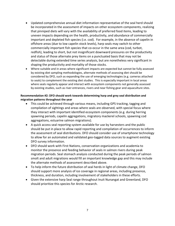- Updated comprehensive annual diet information representative of the seal herd should be incorporated in the assessment of impacts on other ecosystem components, realizing that pinniped diets will vary with the availability of preferred food items, leading to uneven impacts depending on the health, productivity, and abundance of commercially important and depleted fish species (i.e. cod). For example, in the absence of capelin in offshore areas (due to low capelin stock levels), harp seals may switch to other commercially important fish species that co-occur in the same area (cod, turbot, redfish), leading to short, but not insignificant downward pressures on the productivity and status of those alternate prey items on a punctuated basis that may not be detectable during extended time series analysis, but are nonetheless very significant in shaping the productivity and mortality of those stocks.
- Where suitable and in areas where significant impacts are expected but cannot be fully assessed by existing diet sampling methodologies, alternate methods of assessing diet should be considered by DFO, such as expanding the use of emerging technologies (e.g. cameras attached to seals) to complement the existing diet studies. This is especially important in local areas where seals regularly appear and interact with ecosystem components not generally assessed by existing studies, such as river entrances, rivers and near fishing gear and aquaculture sites.

# **Recommendation #2: DFO should work towards determining harp and grey seal distribution and migration patterns throughout the year**

- This could be achieved through various means, including GPS tracking, tagging and compilation of sightings and areas where seals are observed, with special focus where they interact with important identified ecosystem components (e.g. during herring spawning periods, capelin aggregations, migratory mackerel schools, spawning cod aggregations, estuarine salmon migrations).
- A quick access seal reporting system available for use by harvesters and the public should be put in place to allow rapid reporting and compilation of occurrences to inform the assessment of seal distributions. DFO should consider use of smartphone technology to allow for an automated and validated geo-tagged data sources to augment existing DFO survey information.
- DFO should work with First Nations, conservation organizations and academia to monitor the presence and feeding behavior of seals in salmon rivers during peak migration periods. Seal stomach analysis conducted during the peak periods of salmon smolt and adult migrations would fill an important knowledge gap and this may include the alternate methods of assessment described above.
- To help inform the future distribution of seal herds in light of climate change, DFO should support more analysis of ice coverage in regional areas, including presence, thickness, and duration, including involvement of stakeholders in these efforts.
- Given the extensive harp Seal range throughout Inuit Nunangat and Greenland, DFO should prioritize this species for Arctic research.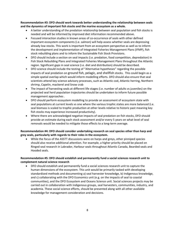**Recommendation #3: DFO should work towards better understanding the relationship between seals and the dynamics of important fish stocks and the marine ecosystem as a whole.**

- A better understanding of the predation relationship between seal population and fish stocks is needed and will be informed by improved diet information recommended above.
- Focused interaction studies in known areas of co-occurrence of seals with other defined important ecosystem components (i.e. salmon) will help assess whether seals are depressing already low stocks. This work is important from an ecosystem perspective as well as to inform the development and implementation of Integrated Fisheries Management Plans (IFMP), fish stock rebuilding plans and to inform the Sustainable Fish Stock Provisions.
- DFO should include a section on seal impacts (i.e. predation, food competition, depredation) in Fish Stock Rebuilding Plans and Integrated Fisheries Management Plans throughout the Atlantic region. Significant gaps in seal science (i.e. diet and distribution) should be described.
- DFO science should include the testing of "Alternative hypotheses" regarding the possible impacts of seal predation on ground fish, pelagic, and shellfish stocks. This could begin as a simple spatial overlap which would inform modelling efforts. DFO should also ensure that seal scientists attend key science advisory processes, such as Atlantic cod, Atlantic herring, Northern shrimp, Capelin, mackerel and Snow crab
- The impact of harvesting seals at different life stages (i.e. number of adults vs juveniles) on the projected seal herd population trajectories should be undertaken to inform future possible management approaches .
- DFO should perform ecosystem modelling to provide an assessment of ecosystem state with seal populations at current levels vs one where the various trophic states are more balanced (i.e. seal biomass is scaled to trophic production at other levels relative to historic past meaning key fish stocks may experience increased productivity).
- Where there are acknowledged negative impacts of seal predation on fish stocks, DFO should provide an estimate during each stock assessment and/or every 5 years on what level of seal removals would be needed to mitigate those effects to a long-term average.

## **Recommendation #4: DFO should consider undertaking research on seal species other than harp and grey seals, particularly with regards to their roles in the ecosystem.**

• While the focus of the ASSTT discussions were on harps and greys, other pinniped species should also receive additional attention. For example, a higher priority should be placed on Ringed seal research in Labrador, Harbour seals throughout Atlantic Canada, Bearded seals and Hooded seals.

## **Recommendation #5: DFO should establish and permanently fund a social sciences research unit to complement natural science research**

• DFO should establish and permanently fund a social sciences research unit to capture the human dimensions of the ecosystem. This unit would be primarily tasked with developing standardized methods and documenting a) seal harvester knowledge, b) Indigenous knowledge, and c) collaborating with the DFO Economics unit (e.g. on the impacts of seal to coastal communities), and the DFO Ecosystem and Oceans Science unit. Social sciences projects may be carried out in collaboration with Indigenous groups, seal harvesters, communities, industry, and academia. These social science efforts, should be presented along with all other available knowledge for management consideration and decisions.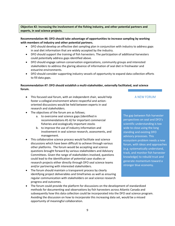**Objective #2: Increasing the involvement of the fishing industry, and other potential partners and experts, in seal science projects.**

**Recommendation #6: DFO should take advantage of opportunities to increase sampling by working with members of industry and other potential partners.** 

- DFO should develop an effective diet sampling plan in conjunction with industry to address gaps in seal diet information that are widely accepted by the industry.
- DFO should support the training of fish harvesters. The participation of additional harvesters could potentially address gaps identified above.
- DFO should engage salmon conservation organizations, community groups and interested stakeholders to address the glaring absence of information of seal diet in freshwater and estuarine environments.
- DFO should consider supporting industry vessels of opportunity to expand data collection efforts to fill data gaps.

## **Recommendation #7: DFO should establish a multi-stakeholder, externally facilitated, seal science forum.**

• This focused seal forum, with an independent chair, would help foster a collegial environment where respectful and actionoriented discussions would be held between experts in seal research and stakeholders.

# A NEW FORUM

- The objectives of the forum are as follows;
	- a. to overcome seal science gaps (identified in recommendations #1-6) for important commercial fisheries and ecologically important stocks
	- b. to improve the use of industry information and involvement in seal science research, assessments, and management.
- This collaborative science process would facilitate seal science discussions which have been difficult to achieve through various other platforms. The forum would be accepting seal science questions brought forward by various stakeholders and Advisory Committees. Given the range of stakeholders involved, questions could lead to the identification of potential case studies or research projects either directly through DFO seal science teams and/or partnering with interested stakeholders.
- The forum should maintain a transparent process by clearly identifying project deliverables and timeframes as well as ensuring regular communication with stakeholders on seal science research progress and outcomes.

The gap between fish harvester perspectives on seal and DFO's scientific understanding is too wide to close using the long standing and existing DFO advisory processes. This ecosystem problem needs a new forum, with ideas and approaches (e.g. systematically understand, track, and monitor fish harvester knowledge) to rebuild trust and generate momentum toward a stronger blue economy.

• The forum could provide the platform for discussions on the development of standardized methods for documenting seal observations by fish harvesters across Atlantic Canada and subsequently how this data collection could be incorporated into the DFO seal science program. Avoiding the discussion on how to incorporate this increasing data set, would be a missed opportunity of meaningful collaboration.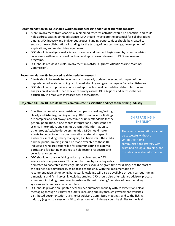#### **Recommendation #8: DFO should work towards accessing additional scientific capacity.**

- More involvement from Academia in pinniped research activities would be beneficial and could help address gaps in pinniped science. DFO should investigate the potential for collaborations among DFO, industry and Indigenous groups. Funding opportunities should be created to support these collaborations including for the testing of new technology, development of applications, and modernizing equipment.
- DFO should investigate seal science processes and methodologies used by other countries, collaborate with international partners and apply lessons learned to DFO seal research programs.
- DFO should reassess its role/involvement in NAMMCO (North Atlantic Marine Mammal Commission).

#### **Recommendation #9: Improved seal depredation research**

- Efforts should be made to document and regularly update the economic impact of the depredation of seals on fishing catch, marketability and gear damage in Canadian fisheries.
- DFO should aim to provide a consistent approach to seal depredation data collection and analysis on all annual fisheries science surveys across DFO Regions and across fisheries particularly in areas with increased seal observations.

#### **Objective #3: How DFO could better communicate its scientific findings to the fishing industry.**

• Effective communication consists of two parts: speaking/writing clearly and listening/reading actively. DFO's seal science findings are complex and not always accessible or understandable for the general population. If one cannot interpret and understand seal science information, one cannot transmit this information to other groups/stakeholders/communities. DFO should make efforts to better tailor its communication material to specific audiences, including fishery managers, fish harvesters, the media and the public. Training should be made available to those DFO individuals who are responsible for communicating to external parties and facilitating meetings to help foster a respectful and collegial environment.

• DFO should encourage fishing industry involvement in DFO

# SHIPS PASSING IN THE NIGHT

These recommendations cannot be successful without a commitment to a communications strategy with sustained dialogue, training, and the latest available information.

science advisory processes. This could be done by including a day dedicated to harvester knowledge. Harvesters should be given time for dialogue at the start of the science advisory process, as opposed to the end. With the implementation of recommendation #5, ongoing harvester knowledge will also be available through various human dimensions and fish harvest knowledge studies. DFO should also offer science advisory process attendees, including those from industry, with basic training/overview of new modelling systems and complex assessment tools.

• DFO should provide an updated seal science summary annually with consistent and clear messaging through a variety of outlets, including publicly through government websites, distributed documentation at Fisheries Advisory Committee meetings, and to the fishing industry (e.g. virtual sessions). Virtual sessions with industry could be similar to the Seal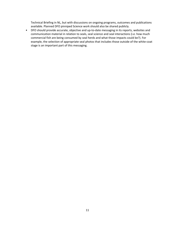Technical Briefing in NL, but with discussions on ongoing programs, outcomes and publications available. Planned DFO pinniped Science work should also be shared publicly.

• DFO should provide accurate, objective and up-to-date messaging in its reports, websites and communication material in relation to seals, seal science and seal interactions (i.e. how much commercial fish are being consumed by seal herds and what those impacts could be?). For example, the selection of appropriate seal photos that includes those outside of the white-coat stage is an important part of this messaging.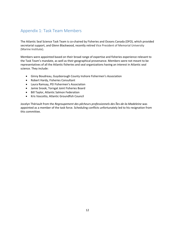# <span id="page-11-0"></span>Appendix 1: Task Team Members

The Atlantic Seal Science Task Team is co-chaired by Fisheries and Oceans Canada (DFO), which provided secretarial support, and Glenn Blackwood, recently retired Vice President of Memorial University (Marine Institute).

Members were appointed based on their broad range of expertise and fisheries experience relevant to the Task Team's mandate, as well as their geographical provenance. Members were not meant to be representatives of all the Atlantic fisheries and seal organizations having an interest in Atlantic seal science. They include:

- Ginny Boudreau, Guysborough County Inshore Fishermen's Association
- Robert Hardy, Fisheries Consultant
- Laura Ramsay, PEI Fishermen's Association
- Jamie Snook, Torngat Joint Fisheries Board
- Bill Taylor, Atlantic Salmon Federation
- Kris Vascotto, Atlantic Groundfish Council

Jocelyn Thériault from the *Regroupement des pêcheurs professionnels des Îles-de-la-Madeleine* was appointed as a member of the task force. Scheduling conflicts unfortunately led to his resignation from this committee.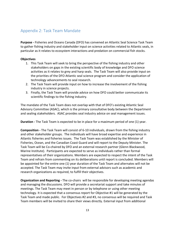# <span id="page-12-0"></span>Appendix 2: Task Team Mandate

**Purpose -** Fisheries and Oceans Canada (DFO) has convened an Atlantic Seal Science Task Team to gather fishing industry and stakeholder input on science activities related to Atlantic seals, in particular as it relates to ecosystem interactions and predation on commercial fish stocks.

## **Objectives**

- 1. This Task Team will seek to bring the perspective of the fishing industry and other stakeholders on gaps in the existing scientific body of knowledge and DFO science activities as it relates to grey and harp seals. The Task Team will also provide input on the priorities of the DFO Atlantic seal science program and consider the application of technology advancements to seal research.
- 2. The Task Team will provide input on how to increase the involvement of the fishing industry in science projects.
- 3. Finally, the Task Team will provide advice on how DFO could better communicate its scientific findings to the fishing industry.

The mandate of the Task Team does not overlap with that of DFO's existing Atlantic Seal Advisory Committee (ASAC), which is the primary consultative body between the Department and sealing stakeholders. ASAC provides seal industry advice on seal management issues.

**Duration -** The Task Team is expected to be in place for a maximum period of one (1) year.

**Composition -** The Task Team will consist of 6-10 individuals, drawn from the fishing industry and other stakeholder groups. The individuals will have broad expertise and experience in Atlantic fisheries and fisheries issues. The Task Team was established by the Minister of Fisheries, Ocean, and the Canadian Coast Guard and will report to the Deputy Minister. The Task Team will be Co-chaired by DFO and an external research partner (Glenn Blackwood, Marine Institute). Participants are expected to serve as individuals rather than formal representatives of their organizations. Members are expected to respect the intent of the Task Team and refrain from commenting on its deliberations until report is concluded. Members will be appointed for the entire one (1) year duration of the Task Team and alternates will not be accepted. The Task Team may invite input from external advisors such as academic and research organizations as required, to fulfill their objectives.

**Organization and Reporting -** The co-chairs will be responsible for developing meeting agendas and managing the discussions. DFO will provide a secretariat support and take minutes of meetings. The Task Team may meet in person or by telephone or using other meeting technology. It is expected that a consensus report for Objective #1 will be generated by the Task Team and made public. For Objectives #2 and #3, no consensus will be required and Task Team members will be invited to share their views directly. External input from additional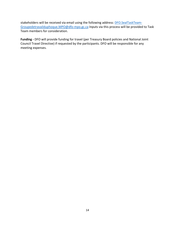stakeholders will be received via email using the following address: [DFO.SealTaskTeam-](mailto:DFO.SealTaskTeam-Groupedetravailduphoque.MPO@dfo-mpo.gc.ca)[Groupedetravailduphoque.MPO@dfo-mpo.gc.ca](mailto:DFO.SealTaskTeam-Groupedetravailduphoque.MPO@dfo-mpo.gc.ca) Inputs via this process will be provided to Task Team members for consideration.

**Funding -** DFO will provide funding for travel (per Treasury Board policies and National Joint Council Travel Directive) if requested by the participants. DFO will be responsible for any meeting expenses.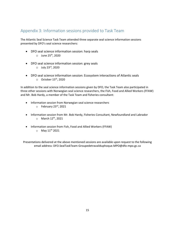# <span id="page-14-0"></span>Appendix 3: Information sessions provided to Task Team

The Atlantic Seal Science Task Team attended three separate seal science information sessions presented by DFO's seal science researchers:

- DFO seal science information session: harp seals  $\circ$  June 25<sup>th</sup>, 2020
- DFO seal science information session: grey seals  $O$  July 23 $rd$ , 2020
- DFO seal science information session: Ecosystem interactions of Atlantic seals  $\circ$  October 15<sup>th</sup>, 2020

In addition to the seal science information sessions given by DFO, the Task Team also participated in three other sessions with Norwegian seal science researchers, the Fish, Food and Allied Workers (FFAW) and Mr. Bob Hardy, a member of the Task Team and fisheries consultant:

- Information session from Norwegian seal science researchers  $\circ$  February 23rd, 2021
- Information session from Mr. Bob Hardy, Fisheries Consultant, Newfoundland and Labrador  $\circ$  March 12<sup>th</sup>, 2021
- Information session from Fish, Food and Allied Workers (FFAW)  $O$  May  $11^{th}$  2021

Presentations delivered at the above mentioned sessions are available upon request to the following email address: DFO.SealTaskTeam-Groupedetravailduphoque.MPO@dfo-mpo.gc.ca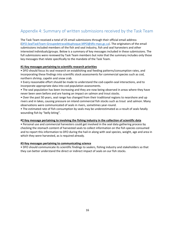# <span id="page-15-0"></span>Appendix 4: Summary of written submissions received by the Task Team

The Task Team received a total of 25 email submissions through their official email address [\(DFO.SealTaskTeam-Groupedetravailduphoque.MPO@dfo-mpo.gc.ca\)](mailto:DFO.SealTaskTeam-Groupedetravailduphoque.MPO@dfo-mpo.gc.ca). The originators of the email submissions included members of the fish and seal industry, fish and seal harvesters and other interested individuals/groups. Below is a summary of key messages included in these submissions. The full submissions were reviewed by Task Team members but note that the summary includes only those key messages that relate specifically to the mandate of the Task Team.

### **#1 Key messages pertaining to scientific research priorities**

• DFO should focus its seal research on establishing seal feeding patterns/consumption rates, and incorporating these findings into scientific stock assessments for commercial species such as cod, northern shrimp, capelin and snow crab.

- Every reasonable effort should be made to understand the cod-capelin-seal interactions, and to incorporate appropriate data into cod population assessments.
- The seal population has been increasing and they are now being observed in areas where they have never been seen before and are having an impact on salmon and trout stocks.
- Over the past 50 years, seal range has changed from their traditional regions to nearshore and up rivers and in lakes, causing pressure on inland commercial fish stocks such as trout and salmon. Many observations were communicated of seals in rivers, sometimes year-round.
- The estimated rate of fish consumption by seals may be underestimated as a result of seals fatally wounding fish by "belly biting".

### **#2 Key message pertaining to involving the fishing industry in the collection of scientific data**

• Personal use and commercial harvesters could get involved in the seal data gathering process by checking the stomach content of harvested seals to collect information on the fish species consumed and to report this information to DFO during the hail-in along with seal species, weight, age and area in which they were harvested, as is required already.

### **#3 Key messages pertaining to communicating science**

• DFO should communicate its scientific findings to sealers, fishing industry and stakeholders so that they can better understand the direct or indirect impact of seals on our fish stocks.